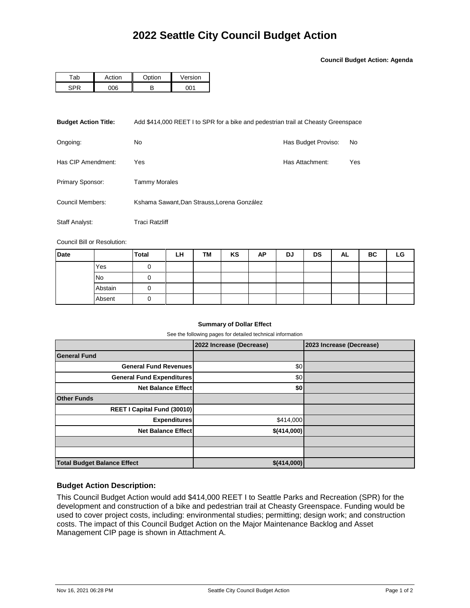**Council Budget Action: Agenda**

| ^ k | .ction          | ∩nti∩n | √ersion |  |  |
|-----|-----------------|--------|---------|--|--|
|     | 10 <sup>c</sup> | г.     |         |  |  |

| <b>Budget Action Title:</b> | Add \$414,000 REET I to SPR for a bike and pedestrian trail at Cheasty Greenspace |                     |     |  |  |  |
|-----------------------------|-----------------------------------------------------------------------------------|---------------------|-----|--|--|--|
| Ongoing:                    | No.                                                                               | Has Budget Proviso: | No  |  |  |  |
| Has CIP Amendment:          | Yes                                                                               | Has Attachment:     | Yes |  |  |  |
| Primary Sponsor:            | Tammy Morales                                                                     |                     |     |  |  |  |
| Council Members:            | Kshama Sawant, Dan Strauss, Lorena González                                       |                     |     |  |  |  |
| Staff Analyst:              | <b>Traci Ratzliff</b>                                                             |                     |     |  |  |  |

Council Bill or Resolution:

| Date |           | <b>Total</b> | LH | TM | KS | AP | DJ | <b>DS</b> | AL | ВC | LG |
|------|-----------|--------------|----|----|----|----|----|-----------|----|----|----|
|      | Yes       |              |    |    |    |    |    |           |    |    |    |
|      | <b>No</b> |              |    |    |    |    |    |           |    |    |    |
|      | Abstain   |              |    |    |    |    |    |           |    |    |    |
|      | Absent    |              |    |    |    |    |    |           |    |    |    |

## **Summary of Dollar Effect**

See the following pages for detailed technical information

|                                    | 2022 Increase (Decrease) | 2023 Increase (Decrease) |
|------------------------------------|--------------------------|--------------------------|
| <b>General Fund</b>                |                          |                          |
| <b>General Fund Revenues</b>       | \$0                      |                          |
| <b>General Fund Expenditures</b>   | \$0                      |                          |
| <b>Net Balance Effect</b>          | \$0                      |                          |
| <b>Other Funds</b>                 |                          |                          |
| REET I Capital Fund (30010)        |                          |                          |
| <b>Expenditures</b>                | \$414,000                |                          |
| <b>Net Balance Effect</b>          | \$(414,000)              |                          |
|                                    |                          |                          |
|                                    |                          |                          |
| <b>Total Budget Balance Effect</b> | \$(414,000)              |                          |

## **Budget Action Description:**

This Council Budget Action would add \$414,000 REET I to Seattle Parks and Recreation (SPR) for the development and construction of a bike and pedestrian trail at Cheasty Greenspace. Funding would be used to cover project costs, including: environmental studies; permitting; design work; and construction costs. The impact of this Council Budget Action on the Major Maintenance Backlog and Asset Management CIP page is shown in Attachment A.